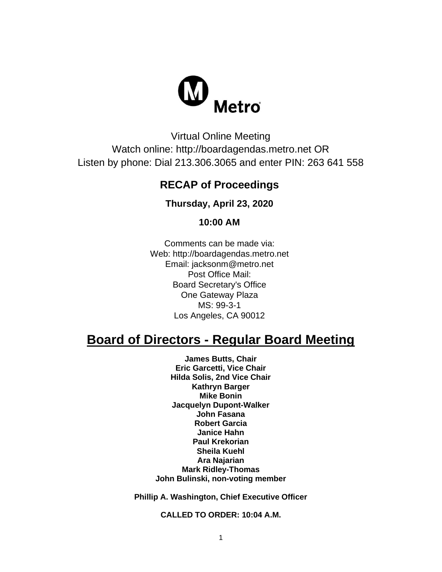

Virtual Online Meeting Watch online: http://boardagendas.metro.net OR Listen by phone: Dial 213.306.3065 and enter PIN: 263 641 558

## **RECAP of Proceedings**

**Thursday, April 23, 2020**

**10:00 AM**

Comments can be made via: Web: http://boardagendas.metro.net Email: jacksonm@metro.net Post Office Mail: Board Secretary's Office One Gateway Plaza MS: 99-3-1 Los Angeles, CA 90012

# **Board of Directors - Regular Board Meeting**

**James Butts, Chair Eric Garcetti, Vice Chair Hilda Solis, 2nd Vice Chair Kathryn Barger Mike Bonin Jacquelyn Dupont-Walker John Fasana Robert Garcia Janice Hahn Paul Krekorian Sheila Kuehl Ara Najarian Mark Ridley-Thomas John Bulinski, non-voting member**

**Phillip A. Washington, Chief Executive Officer**

**CALLED TO ORDER: 10:04 A.M.**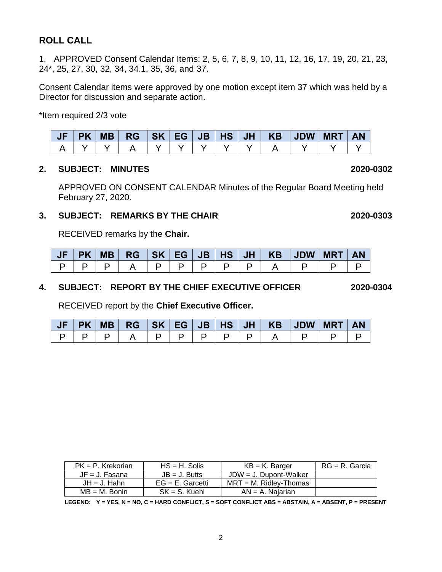### **ROLL CALL**

1. APPROVED Consent Calendar Items: 2, 5, 6, 7, 8, 9, 10, 11, 12, 16, 17, 19, 20, 21, 23, 24\*, 25, 27, 30, 32, 34, 34.1, 35, 36, and 37.

Consent Calendar items were approved by one motion except item 37 which was held by a Director for discussion and separate action.

\*Item required 2/3 vote

|  |  |  |  | JF   PK   MB   RG   SK   EG   JB   HS   JH   KB   JDW   MRT   AN |  |  |
|--|--|--|--|------------------------------------------------------------------|--|--|
|  |  |  |  |                                                                  |  |  |

#### **2. SUBJECT: MINUTES 2020-0302**

APPROVED ON CONSENT CALENDAR Minutes of the Regular Board Meeting held February 27, 2020.

#### **3. SUBJECT: REMARKS BY THE CHAIR 2020-0303**

RECEIVED remarks by the **Chair.**

|  |  |  |                       | JF   PK   MB   RG   SK   EG   JB   HS   JH   KB   JDW   MRT   AN |  |  |
|--|--|--|-----------------------|------------------------------------------------------------------|--|--|
|  |  |  | $\vdash$ P $\vdash$ . |                                                                  |  |  |

#### **4. SUBJECT: REPORT BY THE CHIEF EXECUTIVE OFFICER 2020-0304**

RECEIVED report by the **Chief Executive Officer.** 

|  |                       |  |  |  | JF   PK   MB   RG   SK   EG   JB   HS   JH   KB   JDW   MRT   AN |  |
|--|-----------------------|--|--|--|------------------------------------------------------------------|--|
|  | A I P I P I P I P I P |  |  |  |                                                                  |  |

| $PK = P$ . Krekorian | $HS = H$ . Solis    | $KB = K$ . Barger         | $RG = R$ . Garcia |
|----------------------|---------------------|---------------------------|-------------------|
| $JF = J$ . Fasana    | $JB = J.$ Butts     | $JDW = J$ . Dupont-Walker |                   |
| $JH = J$ . Hahn      | $EG = E$ . Garcetti | $MRT = M$ . Ridlev-Thomas |                   |
| $MB = M$ . Bonin     | $SK = S$ . Kuehl    | $AN = A$ . Naiarian       |                   |

**LEGEND: Y = YES, N = NO, C = HARD CONFLICT, S = SOFT CONFLICT ABS = ABSTAIN, A = ABSENT, P = PRESENT**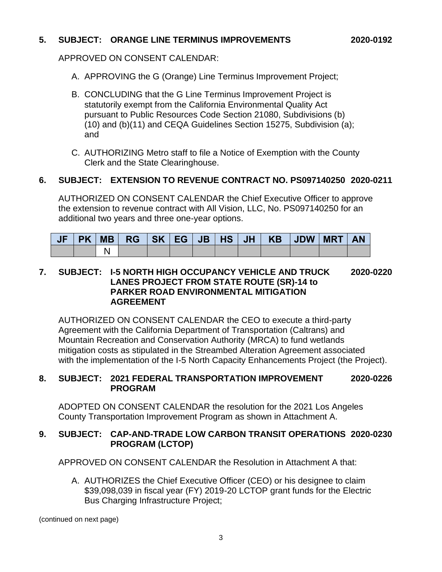#### **5. SUBJECT: ORANGE LINE TERMINUS IMPROVEMENTS 2020-0192**

APPROVED ON CONSENT CALENDAR:

- A. APPROVING the G (Orange) Line Terminus Improvement Project;
- B. CONCLUDING that the G Line Terminus Improvement Project is statutorily exempt from the California Environmental Quality Act pursuant to Public Resources Code Section 21080, Subdivisions (b) (10) and (b)(11) and CEQA Guidelines Section 15275, Subdivision (a); and
- C. AUTHORIZING Metro staff to file a Notice of Exemption with the County Clerk and the State Clearinghouse.

#### **6. SUBJECT: EXTENSION TO REVENUE CONTRACT NO. PS097140250 2020-0211**

AUTHORIZED ON CONSENT CALENDAR the Chief Executive Officer to approve the extension to revenue contract with All Vision, LLC, No. PS097140250 for an additional two years and three one-year options.

| JF | <b>PK</b> | <b>MB</b> | <b>RG</b> | SK EG V | <b>JB</b> | $\overline{1}$ HS $^{\prime}$ | JH <sup>T</sup> | KB JDW | <b>MRT</b> |  |
|----|-----------|-----------|-----------|---------|-----------|-------------------------------|-----------------|--------|------------|--|
|    |           |           |           |         |           |                               |                 |        |            |  |

#### **7. SUBJECT: I-5 NORTH HIGH OCCUPANCY VEHICLE AND TRUCK 2020-0220 LANES PROJECT FROM STATE ROUTE (SR)-14 to PARKER ROAD ENVIRONMENTAL MITIGATION AGREEMENT**

AUTHORIZED ON CONSENT CALENDAR the CEO to execute a third-party Agreement with the California Department of Transportation (Caltrans) and Mountain Recreation and Conservation Authority (MRCA) to fund wetlands mitigation costs as stipulated in the Streambed Alteration Agreement associated with the implementation of the I-5 North Capacity Enhancements Project (the Project).

#### **8. SUBJECT: 2021 FEDERAL TRANSPORTATION IMPROVEMENT 2020-0226 PROGRAM**

ADOPTED ON CONSENT CALENDAR the resolution for the 2021 Los Angeles County Transportation Improvement Program as shown in Attachment A.

#### **9. SUBJECT: CAP-AND-TRADE LOW CARBON TRANSIT OPERATIONS 2020-0230 PROGRAM (LCTOP)**

APPROVED ON CONSENT CALENDAR the Resolution in Attachment A that:

A. AUTHORIZES the Chief Executive Officer (CEO) or his designee to claim \$39,098,039 in fiscal year (FY) 2019-20 LCTOP grant funds for the Electric Bus Charging Infrastructure Project;

(continued on next page)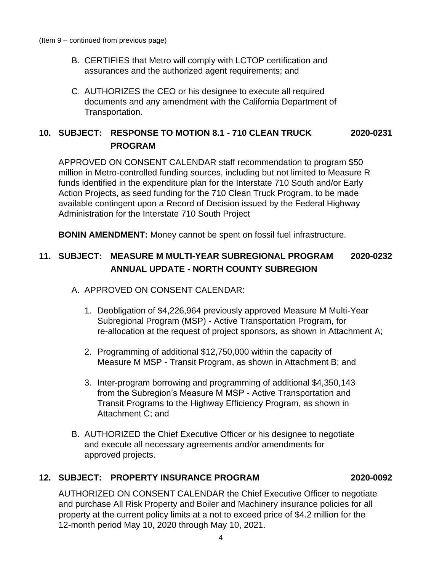- B. CERTIFIES that Metro will comply with LCTOP certification and assurances and the authorized agent requirements; and
- C. AUTHORIZES the CEO or his designee to execute all required documents and any amendment with the California Department of Transportation.

## **10. SUBJECT: RESPONSE TO MOTION 8.1 - 710 CLEAN TRUCK 2020-0231 PROGRAM**

APPROVED ON CONSENT CALENDAR staff recommendation to program \$50 million in Metro-controlled funding sources, including but not limited to Measure R funds identified in the expenditure plan for the Interstate 710 South and/or Early Action Projects, as seed funding for the 710 Clean Truck Program, to be made available contingent upon a Record of Decision issued by the Federal Highway Administration for the Interstate 710 South Project

**BONIN AMENDMENT:** Money cannot be spent on fossil fuel infrastructure.

## **11. SUBJECT: MEASURE M MULTI-YEAR SUBREGIONAL PROGRAM 2020-0232 ANNUAL UPDATE - NORTH COUNTY SUBREGION**

- A. APPROVED ON CONSENT CALENDAR:
	- 1. Deobligation of \$4,226,964 previously approved Measure M Multi-Year Subregional Program (MSP) - Active Transportation Program, for re-allocation at the request of project sponsors, as shown in Attachment A;
	- 2. Programming of additional \$12,750,000 within the capacity of Measure M MSP - Transit Program, as shown in Attachment B; and
	- 3. Inter-program borrowing and programming of additional \$4,350,143 from the Subregion's Measure M MSP - Active Transportation and Transit Programs to the Highway Efficiency Program, as shown in Attachment C; and
- B. AUTHORIZED the Chief Executive Officer or his designee to negotiate and execute all necessary agreements and/or amendments for approved projects.

#### **12. SUBJECT: PROPERTY INSURANCE PROGRAM 2020-0092**

AUTHORIZED ON CONSENT CALENDAR the Chief Executive Officer to negotiate and purchase All Risk Property and Boiler and Machinery insurance policies for all property at the current policy limits at a not to exceed price of \$4.2 million for the 12-month period May 10, 2020 through May 10, 2021.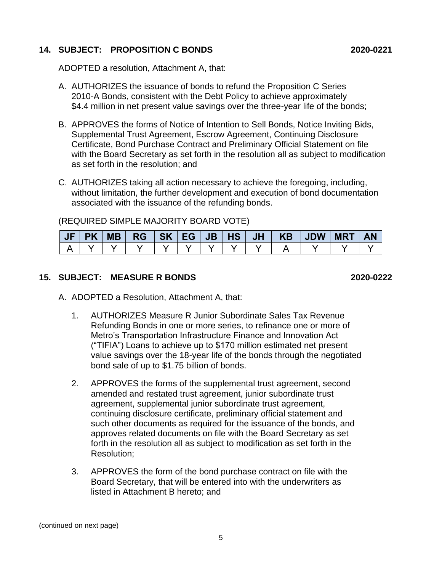#### **14. SUBJECT: PROPOSITION C BONDS 2020-0221**

ADOPTED a resolution, Attachment A, that:

- A. AUTHORIZES the issuance of bonds to refund the Proposition C Series 2010-A Bonds, consistent with the Debt Policy to achieve approximately \$4.4 million in net present value savings over the three-year life of the bonds;
- B. APPROVES the forms of Notice of Intention to Sell Bonds, Notice Inviting Bids, Supplemental Trust Agreement, Escrow Agreement, Continuing Disclosure Certificate, Bond Purchase Contract and Preliminary Official Statement on file with the Board Secretary as set forth in the resolution all as subject to modification as set forth in the resolution; and
- C. AUTHORIZES taking all action necessary to achieve the foregoing, including, without limitation, the further development and execution of bond documentation associated with the issuance of the refunding bonds.

(REQUIRED SIMPLE MAJORITY BOARD VOTE)

|  |  |  |  |  |  | <b>AN</b> |
|--|--|--|--|--|--|-----------|
|  |  |  |  |  |  |           |

#### **15. SUBJECT: MEASURE R BONDS 2020-0222**

- A. ADOPTED a Resolution, Attachment A, that:
	- 1. AUTHORIZES Measure R Junior Subordinate Sales Tax Revenue Refunding Bonds in one or more series, to refinance one or more of Metro's Transportation Infrastructure Finance and Innovation Act ("TIFIA") Loans to achieve up to \$170 million estimated net present value savings over the 18-year life of the bonds through the negotiated bond sale of up to \$1.75 billion of bonds.
	- 2. APPROVES the forms of the supplemental trust agreement, second amended and restated trust agreement, junior subordinate trust agreement, supplemental junior subordinate trust agreement, continuing disclosure certificate, preliminary official statement and such other documents as required for the issuance of the bonds, and approves related documents on file with the Board Secretary as set forth in the resolution all as subject to modification as set forth in the Resolution;
	- 3. APPROVES the form of the bond purchase contract on file with the Board Secretary, that will be entered into with the underwriters as listed in Attachment B hereto; and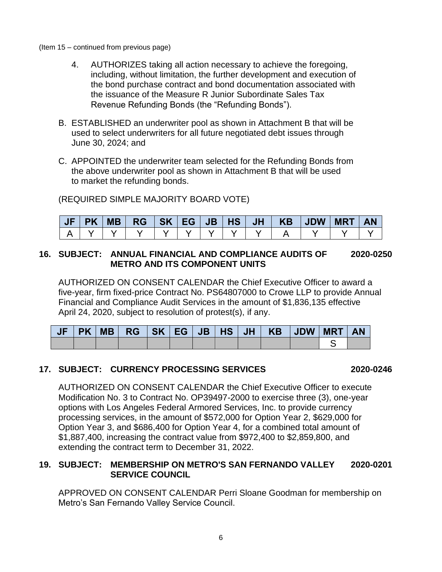- (Item 15 continued from previous page)
	- 4. AUTHORIZES taking all action necessary to achieve the foregoing, including, without limitation, the further development and execution of the bond purchase contract and bond documentation associated with the issuance of the Measure R Junior Subordinate Sales Tax Revenue Refunding Bonds (the "Refunding Bonds").
	- B. ESTABLISHED an underwriter pool as shown in Attachment B that will be used to select underwriters for all future negotiated debt issues through June 30, 2024; and
	- C. APPOINTED the underwriter team selected for the Refunding Bonds from the above underwriter pool as shown in Attachment B that will be used to market the refunding bonds.

(REQUIRED SIMPLE MAJORITY BOARD VOTE)

| <b>AJF</b> | <b>PK</b> | MB | $RG$ $SK$ $EG$ $\vert$ |  | $JB$   HS | JH V | KB | <b>JDW</b> | <b>MRT</b> |  |
|------------|-----------|----|------------------------|--|-----------|------|----|------------|------------|--|
|            |           |    |                        |  |           |      |    |            |            |  |

#### **16. SUBJECT: ANNUAL FINANCIAL AND COMPLIANCE AUDITS OF 2020-0250 METRO AND ITS COMPONENT UNITS**

AUTHORIZED ON CONSENT CALENDAR the Chief Executive Officer to award a five-year, firm fixed-price Contract No. PS64807000 to Crowe LLP to provide Annual Financial and Compliance Audit Services in the amount of \$1,836,135 effective April 24, 2020, subject to resolution of protest(s), if any.

|  |  |  |  | JF PK MB  RG  SK EG JB HS  JH   KB  JDW  MRT   AN |  |  |
|--|--|--|--|---------------------------------------------------|--|--|
|  |  |  |  |                                                   |  |  |

### **17. SUBJECT: CURRENCY PROCESSING SERVICES 2020-0246**

AUTHORIZED ON CONSENT CALENDAR the Chief Executive Officer to execute Modification No. 3 to Contract No. OP39497-2000 to exercise three (3), one-year options with Los Angeles Federal Armored Services, Inc. to provide currency processing services, in the amount of \$572,000 for Option Year 2, \$629,000 for Option Year 3, and \$686,400 for Option Year 4, for a combined total amount of \$1,887,400, increasing the contract value from \$972,400 to \$2,859,800, and extending the contract term to December 31, 2022.

#### **19. SUBJECT: MEMBERSHIP ON METRO'S SAN FERNANDO VALLEY 2020-0201 SERVICE COUNCIL**

APPROVED ON CONSENT CALENDAR Perri Sloane Goodman for membership on Metro's San Fernando Valley Service Council.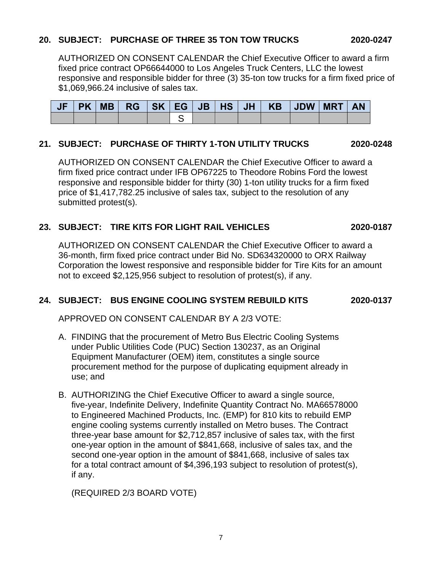### **20. SUBJECT: PURCHASE OF THREE 35 TON TOW TRUCKS 2020-0247**

AUTHORIZED ON CONSENT CALENDAR the Chief Executive Officer to award a firm fixed price contract OP66644000 to Los Angeles Truck Centers, LLC the lowest responsive and responsible bidder for three (3) 35-ton tow trucks for a firm fixed price of \$1,069,966.24 inclusive of sales tax.

|  |  |  |  | JF   PK   MB   RG   SK   EG   JB   HS   JH   KB   JDW   MRT   AN |  |  |
|--|--|--|--|------------------------------------------------------------------|--|--|
|  |  |  |  |                                                                  |  |  |

#### **21. SUBJECT: PURCHASE OF THIRTY 1-TON UTILITY TRUCKS 2020-0248**

AUTHORIZED ON CONSENT CALENDAR the Chief Executive Officer to award a firm fixed price contract under IFB OP67225 to Theodore Robins Ford the lowest responsive and responsible bidder for thirty (30) 1-ton utility trucks for a firm fixed price of \$1,417,782.25 inclusive of sales tax, subject to the resolution of any submitted protest(s).

#### **23. SUBJECT: TIRE KITS FOR LIGHT RAIL VEHICLES 2020-0187**

AUTHORIZED ON CONSENT CALENDAR the Chief Executive Officer to award a 36-month, firm fixed price contract under Bid No. SD634320000 to ORX Railway Corporation the lowest responsive and responsible bidder for Tire Kits for an amount not to exceed \$2,125,956 subject to resolution of protest(s), if any.

#### **24. SUBJECT: BUS ENGINE COOLING SYSTEM REBUILD KITS 2020-0137**

APPROVED ON CONSENT CALENDAR BY A 2/3 VOTE:

- A. FINDING that the procurement of Metro Bus Electric Cooling Systems under Public Utilities Code (PUC) Section 130237, as an Original Equipment Manufacturer (OEM) item, constitutes a single source procurement method for the purpose of duplicating equipment already in use; and
- B. AUTHORIZING the Chief Executive Officer to award a single source, five-year, Indefinite Delivery, Indefinite Quantity Contract No. MA66578000 to Engineered Machined Products, Inc. (EMP) for 810 kits to rebuild EMP engine cooling systems currently installed on Metro buses. The Contract three-year base amount for \$2,712,857 inclusive of sales tax, with the first one-year option in the amount of \$841,668, inclusive of sales tax, and the second one-year option in the amount of \$841,668, inclusive of sales tax for a total contract amount of \$4,396,193 subject to resolution of protest(s), if any.

(REQUIRED 2/3 BOARD VOTE)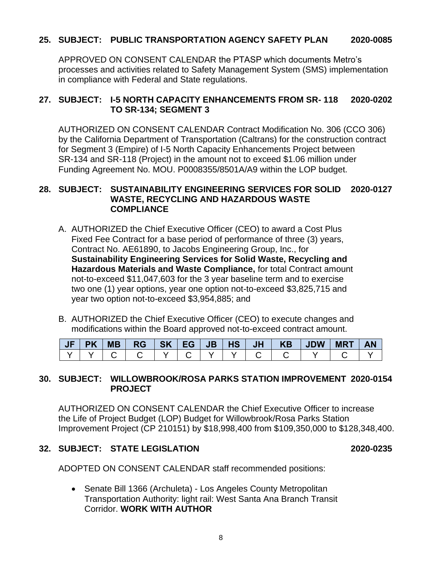#### **25. SUBJECT: PUBLIC TRANSPORTATION AGENCY SAFETY PLAN 2020-0085**

APPROVED ON CONSENT CALENDAR the PTASP which documents Metro's processes and activities related to Safety Management System (SMS) implementation in compliance with Federal and State regulations.

#### **27. SUBJECT: I-5 NORTH CAPACITY ENHANCEMENTS FROM SR- 118 2020-0202 TO SR-134; SEGMENT 3**

AUTHORIZED ON CONSENT CALENDAR Contract Modification No. 306 (CCO 306) by the California Department of Transportation (Caltrans) for the construction contract for Segment 3 (Empire) of I-5 North Capacity Enhancements Project between SR-134 and SR-118 (Project) in the amount not to exceed \$1.06 million under Funding Agreement No. MOU. P0008355/8501A/A9 within the LOP budget.

#### **28. SUBJECT: SUSTAINABILITY ENGINEERING SERVICES FOR SOLID 2020-0127 WASTE, RECYCLING AND HAZARDOUS WASTE COMPLIANCE**

- A. AUTHORIZED the Chief Executive Officer (CEO) to award a Cost Plus Fixed Fee Contract for a base period of performance of three (3) years, Contract No. AE61890, to Jacobs Engineering Group, Inc., for **Sustainability Engineering Services for Solid Waste, Recycling and Hazardous Materials and Waste Compliance,** for total Contract amount not-to-exceed \$11,047,603 for the 3 year baseline term and to exercise two one (1) year options, year one option not-to-exceed \$3,825,715 and year two option not-to-exceed \$3,954,885; and
- B. AUTHORIZED the Chief Executive Officer (CEO) to execute changes and modifications within the Board approved not-to-exceed contract amount.

| <b>JF</b> | MB |  |  |  | $RG$ $SK$ $EG$ $JB$ $HS$ $JI$ $KB$ $J$ $UB$ | <b>MRT</b> | <b>AN</b> |
|-----------|----|--|--|--|---------------------------------------------|------------|-----------|
|           |    |  |  |  |                                             |            |           |

#### **30. SUBJECT: WILLOWBROOK/ROSA PARKS STATION IMPROVEMENT 2020-0154 PROJECT**

AUTHORIZED ON CONSENT CALENDAR the Chief Executive Officer to increase the Life of Project Budget (LOP) Budget for Willowbrook/Rosa Parks Station Improvement Project (CP 210151) by \$18,998,400 from \$109,350,000 to \$128,348,400.

#### **32. SUBJECT: STATE LEGISLATION 2020-0235**

ADOPTED ON CONSENT CALENDAR staff recommended positions:

• Senate Bill 1366 (Archuleta) - Los Angeles County Metropolitan Transportation Authority: light rail: West Santa Ana Branch Transit Corridor. **WORK WITH AUTHOR**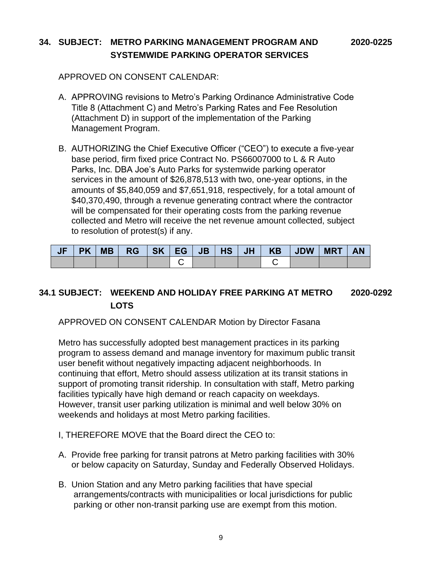## **34. SUBJECT: METRO PARKING MANAGEMENT PROGRAM AND 2020-0225 SYSTEMWIDE PARKING OPERATOR SERVICES**

APPROVED ON CONSENT CALENDAR:

- A. APPROVING revisions to Metro's Parking Ordinance Administrative Code Title 8 (Attachment C) and Metro's Parking Rates and Fee Resolution (Attachment D) in support of the implementation of the Parking Management Program.
- B. AUTHORIZING the Chief Executive Officer ("CEO") to execute a five-year base period, firm fixed price Contract No. PS66007000 to L & R Auto Parks, Inc. DBA Joe's Auto Parks for systemwide parking operator services in the amount of \$26,878,513 with two, one-year options, in the amounts of \$5,840,059 and \$7,651,918, respectively, for a total amount of \$40,370,490, through a revenue generating contract where the contractor will be compensated for their operating costs from the parking revenue collected and Metro will receive the net revenue amount collected, subject to resolution of protest(s) if any.

| JF | <b>PK</b> | <b>MB</b> | <b>RG</b> | SK EG | JB   HS   JH |  | KB JDW | <b>MRT</b> | <b>AN</b> |
|----|-----------|-----------|-----------|-------|--------------|--|--------|------------|-----------|
|    |           |           |           |       |              |  |        |            |           |

## **34.1 SUBJECT: WEEKEND AND HOLIDAY FREE PARKING AT METRO 2020-0292 LOTS**

#### APPROVED ON CONSENT CALENDAR Motion by Director Fasana

Metro has successfully adopted best management practices in its parking program to assess demand and manage inventory for maximum public transit user benefit without negatively impacting adjacent neighborhoods. In continuing that effort, Metro should assess utilization at its transit stations in support of promoting transit ridership. In consultation with staff, Metro parking facilities typically have high demand or reach capacity on weekdays. However, transit user parking utilization is minimal and well below 30% on weekends and holidays at most Metro parking facilities.

- I, THEREFORE MOVE that the Board direct the CEO to:
- A. Provide free parking for transit patrons at Metro parking facilities with 30% or below capacity on Saturday, Sunday and Federally Observed Holidays.
- B. Union Station and any Metro parking facilities that have special arrangements/contracts with municipalities or local jurisdictions for public parking or other non-transit parking use are exempt from this motion.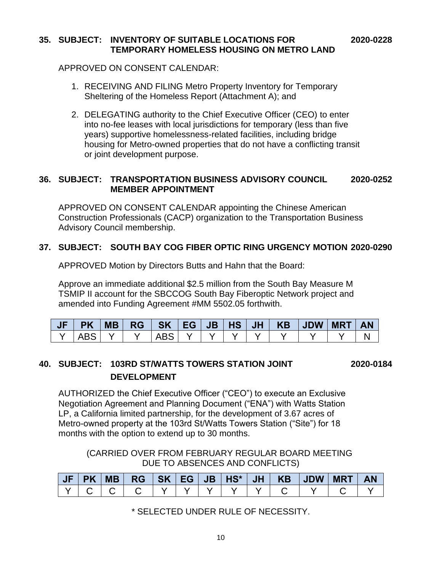#### **35. SUBJECT: INVENTORY OF SUITABLE LOCATIONS FOR 2020-0228 TEMPORARY HOMELESS HOUSING ON METRO LAND**

APPROVED ON CONSENT CALENDAR:

- 1. RECEIVING AND FILING Metro Property Inventory for Temporary Sheltering of the Homeless Report (Attachment A); and
- 2. DELEGATING authority to the Chief Executive Officer (CEO) to enter into no-fee leases with local jurisdictions for temporary (less than five years) supportive homelessness-related facilities, including bridge housing for Metro-owned properties that do not have a conflicting transit or joint development purpose.

#### **36. SUBJECT: TRANSPORTATION BUSINESS ADVISORY COUNCIL 2020-0252 MEMBER APPOINTMENT**

APPROVED ON CONSENT CALENDAR appointing the Chinese American Construction Professionals (CACP) organization to the Transportation Business Advisory Council membership.

## **37. SUBJECT: SOUTH BAY COG FIBER OPTIC RING URGENCY MOTION 2020-0290**

APPROVED Motion by Directors Butts and Hahn that the Board:

Approve an immediate additional \$2.5 million from the South Bay Measure M TSMIP II account for the SBCCOG South Bay Fiberoptic Network project and amended into Funding Agreement #MM 5502.05 forthwith.

| JF | <b>PK</b> | <b>MB</b> | <b>RG</b> | <b>SK</b> | EG. | JB' | <b>HS</b> | <b>JH</b> | <b>KB</b> | $\vert$ JDW | <b>MRT</b> |  |
|----|-----------|-----------|-----------|-----------|-----|-----|-----------|-----------|-----------|-------------|------------|--|
|    | $\Delta'$ |           |           |           |     |     |           |           |           |             |            |  |

## **40. SUBJECT: 103RD ST/WATTS TOWERS STATION JOINT 2020-0184 DEVELOPMENT**

AUTHORIZED the Chief Executive Officer ("CEO") to execute an Exclusive Negotiation Agreement and Planning Document ("ENA") with Watts Station LP, a California limited partnership, for the development of 3.67 acres of Metro-owned property at the 103rd St/Watts Towers Station ("Site") for 18 months with the option to extend up to 30 months.

(CARRIED OVER FROM FEBRUARY REGULAR BOARD MEETING DUE TO ABSENCES AND CONFLICTS)

| <b>JF</b> | <b>MB</b> | RG I | SK   EG | $-1$ JB $HS*$ | $JH$ $V$ | KB | <b>JDW</b> | / MRT | ΑN |
|-----------|-----------|------|---------|---------------|----------|----|------------|-------|----|
|           |           |      |         |               |          |    |            |       |    |

\* SELECTED UNDER RULE OF NECESSITY.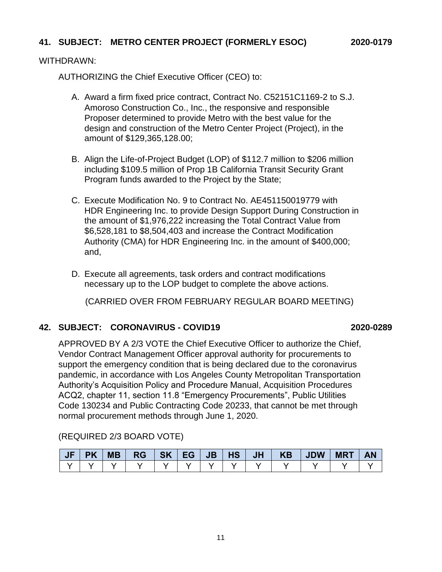#### **41. SUBJECT: METRO CENTER PROJECT (FORMERLY ESOC) 2020-0179**

#### WITHDRAWN:

AUTHORIZING the Chief Executive Officer (CEO) to:

- A. Award a firm fixed price contract, Contract No. C52151C1169-2 to S.J. Amoroso Construction Co., Inc., the responsive and responsible Proposer determined to provide Metro with the best value for the design and construction of the Metro Center Project (Project), in the amount of \$129,365,128.00;
- B. Align the Life-of-Project Budget (LOP) of \$112.7 million to \$206 million including \$109.5 million of Prop 1B California Transit Security Grant Program funds awarded to the Project by the State;
- C. Execute Modification No. 9 to Contract No. AE451150019779 with HDR Engineering Inc. to provide Design Support During Construction in the amount of \$1,976,222 increasing the Total Contract Value from \$6,528,181 to \$8,504,403 and increase the Contract Modification Authority (CMA) for HDR Engineering Inc. in the amount of \$400,000; and,
- D. Execute all agreements, task orders and contract modifications necessary up to the LOP budget to complete the above actions.

(CARRIED OVER FROM FEBRUARY REGULAR BOARD MEETING)

#### **42. SUBJECT: CORONAVIRUS - COVID19 2020-0289**

APPROVED BY A 2/3 VOTE the Chief Executive Officer to authorize the Chief, Vendor Contract Management Officer approval authority for procurements to support the emergency condition that is being declared due to the coronavirus pandemic, in accordance with Los Angeles County Metropolitan Transportation Authority's Acquisition Policy and Procedure Manual, Acquisition Procedures ACQ2, chapter 11, section 11.8 "Emergency Procurements", Public Utilities Code 130234 and Public Contracting Code 20233, that cannot be met through normal procurement methods through June 1, 2020.

(REQUIRED 2/3 BOARD VOTE)

|  |  |  |  |  | JF PK MB  RG  SK EG JB HS  JH   KB  JDW MRT  AN |  |
|--|--|--|--|--|-------------------------------------------------|--|
|  |  |  |  |  |                                                 |  |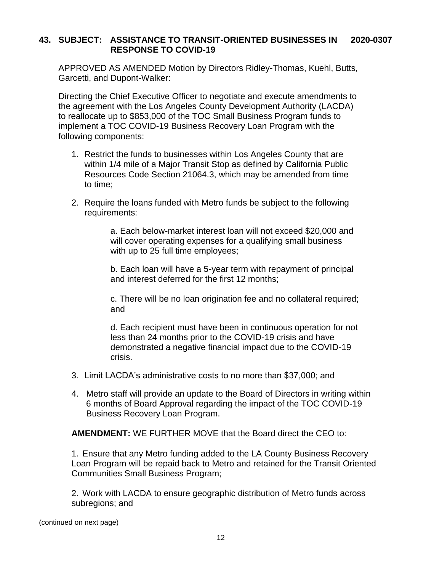#### **43. SUBJECT: ASSISTANCE TO TRANSIT-ORIENTED BUSINESSES IN 2020-0307 RESPONSE TO COVID-19**

APPROVED AS AMENDED Motion by Directors Ridley-Thomas, Kuehl, Butts, Garcetti, and Dupont-Walker:

Directing the Chief Executive Officer to negotiate and execute amendments to the agreement with the Los Angeles County Development Authority (LACDA) to reallocate up to \$853,000 of the TOC Small Business Program funds to implement a TOC COVID-19 Business Recovery Loan Program with the following components:

- 1. Restrict the funds to businesses within Los Angeles County that are within 1/4 mile of a Major Transit Stop as defined by California Public Resources Code Section 21064.3, which may be amended from time to time;
- 2. Require the loans funded with Metro funds be subject to the following requirements:

a. Each below-market interest loan will not exceed \$20,000 and will cover operating expenses for a qualifying small business with up to 25 full time employees;

b. Each loan will have a 5-year term with repayment of principal and interest deferred for the first 12 months;

c. There will be no loan origination fee and no collateral required; and

d. Each recipient must have been in continuous operation for not less than 24 months prior to the COVID-19 crisis and have demonstrated a negative financial impact due to the COVID-19 crisis.

- 3. Limit LACDA's administrative costs to no more than \$37,000; and
- 4. Metro staff will provide an update to the Board of Directors in writing within 6 months of Board Approval regarding the impact of the TOC COVID-19 Business Recovery Loan Program.

**AMENDMENT:** WE FURTHER MOVE that the Board direct the CEO to:

1. Ensure that any Metro funding added to the LA County Business Recovery Loan Program will be repaid back to Metro and retained for the Transit Oriented Communities Small Business Program;

2. Work with LACDA to ensure geographic distribution of Metro funds across subregions; and

(continued on next page)